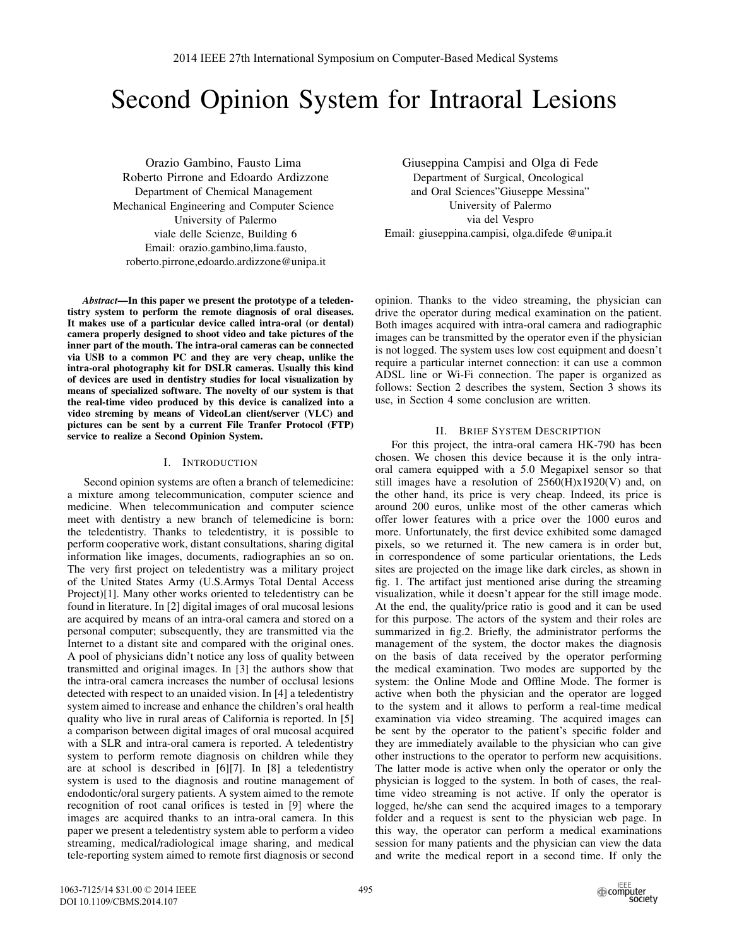# Second Opinion System for Intraoral Lesions

Orazio Gambino, Fausto Lima Roberto Pirrone and Edoardo Ardizzone Department of Chemical Management Mechanical Engineering and Computer Science University of Palermo viale delle Scienze, Building 6 Email: orazio.gambino,lima.fausto, roberto.pirrone,edoardo.ardizzone@unipa.it

*Abstract***—In this paper we present the prototype of a teledentistry system to perform the remote diagnosis of oral diseases. It makes use of a particular device called intra-oral (or dental) camera properly designed to shoot video and take pictures of the inner part of the mouth. The intra-oral cameras can be connected via USB to a common PC and they are very cheap, unlike the intra-oral photography kit for DSLR cameras. Usually this kind of devices are used in dentistry studies for local visualization by means of specialized software. The novelty of our system is that the real-time video produced by this device is canalized into a video streming by means of VideoLan client/server (VLC) and pictures can be sent by a current File Tranfer Protocol (FTP) service to realize a Second Opinion System.**

## I. INTRODUCTION

Second opinion systems are often a branch of telemedicine: a mixture among telecommunication, computer science and medicine. When telecommunication and computer science meet with dentistry a new branch of telemedicine is born: the teledentistry. Thanks to teledentistry, it is possible to perform cooperative work, distant consultations, sharing digital information like images, documents, radiographies an so on. The very first project on teledentistry was a military project of the United States Army (U.S.Armys Total Dental Access Project)[1]. Many other works oriented to teledentistry can be found in literature. In [2] digital images of oral mucosal lesions are acquired by means of an intra-oral camera and stored on a personal computer; subsequently, they are transmitted via the Internet to a distant site and compared with the original ones. A pool of physicians didn't notice any loss of quality between transmitted and original images. In [3] the authors show that the intra-oral camera increases the number of occlusal lesions detected with respect to an unaided vision. In [4] a teledentistry system aimed to increase and enhance the children's oral health quality who live in rural areas of California is reported. In [5] a comparison between digital images of oral mucosal acquired with a SLR and intra-oral camera is reported. A teledentistry system to perform remote diagnosis on children while they are at school is described in [6][7]. In [8] a teledentistry system is used to the diagnosis and routine management of endodontic/oral surgery patients. A system aimed to the remote recognition of root canal orifices is tested in [9] where the images are acquired thanks to an intra-oral camera. In this paper we present a teledentistry system able to perform a video streaming, medical/radiological image sharing, and medical tele-reporting system aimed to remote first diagnosis or second

Giuseppina Campisi and Olga di Fede Department of Surgical, Oncological and Oral Sciences"Giuseppe Messina" University of Palermo via del Vespro Email: giuseppina.campisi, olga.difede @unipa.it

opinion. Thanks to the video streaming, the physician can drive the operator during medical examination on the patient. Both images acquired with intra-oral camera and radiographic images can be transmitted by the operator even if the physician is not logged. The system uses low cost equipment and doesn't require a particular internet connection: it can use a common ADSL line or Wi-Fi connection. The paper is organized as follows: Section 2 describes the system, Section 3 shows its use, in Section 4 some conclusion are written.

#### II. BRIEF SYSTEM DESCRIPTION

For this project, the intra-oral camera HK-790 has been chosen. We chosen this device because it is the only intraoral camera equipped with a 5.0 Megapixel sensor so that still images have a resolution of  $2560(H)x1920(V)$  and, on the other hand, its price is very cheap. Indeed, its price is around 200 euros, unlike most of the other cameras which offer lower features with a price over the 1000 euros and more. Unfortunately, the first device exhibited some damaged pixels, so we returned it. The new camera is in order but, in correspondence of some particular orientations, the Leds sites are projected on the image like dark circles, as shown in fig. 1. The artifact just mentioned arise during the streaming visualization, while it doesn't appear for the still image mode. At the end, the quality/price ratio is good and it can be used for this purpose. The actors of the system and their roles are summarized in fig.2. Briefly, the administrator performs the management of the system, the doctor makes the diagnosis on the basis of data received by the operator performing the medical examination. Two modes are supported by the system: the Online Mode and Offline Mode. The former is active when both the physician and the operator are logged to the system and it allows to perform a real-time medical examination via video streaming. The acquired images can be sent by the operator to the patient's specific folder and they are immediately available to the physician who can give other instructions to the operator to perform new acquisitions. The latter mode is active when only the operator or only the physician is logged to the system. In both of cases, the realtime video streaming is not active. If only the operator is logged, he/she can send the acquired images to a temporary folder and a request is sent to the physician web page. In this way, the operator can perform a medical examinations session for many patients and the physician can view the data and write the medical report in a second time. If only the